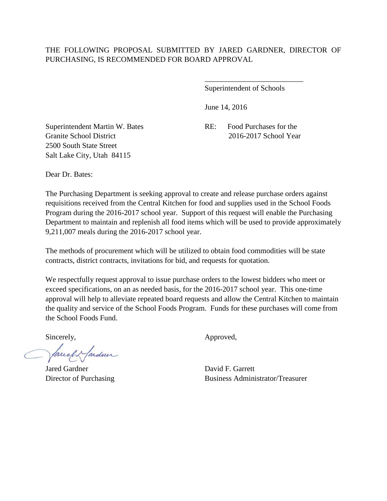Superintendent of Schools

\_\_\_\_\_\_\_\_\_\_\_\_\_\_\_\_\_\_\_\_\_\_\_\_\_\_

June 14, 2016

Superintendent Martin W. Bates RE: Food Purchases for the Granite School District 2016-2017 School Year 2500 South State Street Salt Lake City, Utah 84115

Dear Dr. Bates:

The Purchasing Department is seeking approval to create and release purchase orders against requisitions received from the Central Kitchen for food and supplies used in the School Foods Program during the 2016-2017 school year. Support of this request will enable the Purchasing Department to maintain and replenish all food items which will be used to provide approximately 9,211,007 meals during the 2016-2017 school year.

The methods of procurement which will be utilized to obtain food commodities will be state contracts, district contracts, invitations for bid, and requests for quotation.

We respectfully request approval to issue purchase orders to the lowest bidders who meet or exceed specifications, on an as needed basis, for the 2016-2017 school year. This one-time approval will help to alleviate repeated board requests and allow the Central Kitchen to maintain the quality and service of the School Foods Program. Funds for these purchases will come from the School Foods Fund.

Sincerely,  $\qquad \qquad \text{Approved},$ 

facely farden

Jared Gardner David F. Garrett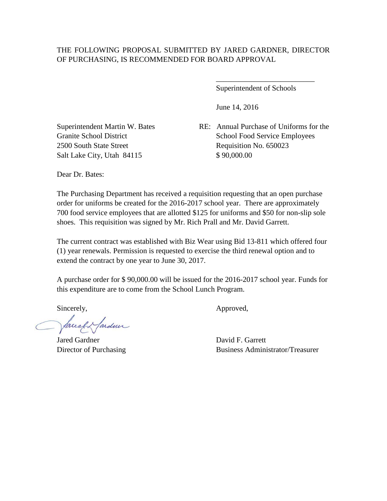Superintendent of Schools

\_\_\_\_\_\_\_\_\_\_\_\_\_\_\_\_\_\_\_\_\_\_\_\_\_\_

June 14, 2016

2500 South State Street Requisition No. 650023 Salt Lake City, Utah 84115 \$ 90,000.00

Superintendent Martin W. Bates RE: Annual Purchase of Uniforms for the Granite School District School Food Service Employees

Dear Dr. Bates:

The Purchasing Department has received a requisition requesting that an open purchase order for uniforms be created for the 2016-2017 school year. There are approximately 700 food service employees that are allotted \$125 for uniforms and \$50 for non-slip sole shoes. This requisition was signed by Mr. Rich Prall and Mr. David Garrett.

The current contract was established with Biz Wear using Bid 13-811 which offered four (1) year renewals. Permission is requested to exercise the third renewal option and to extend the contract by one year to June 30, 2017.

A purchase order for \$ 90,000.00 will be issued for the 2016-2017 school year. Funds for this expenditure are to come from the School Lunch Program.

facely farden

Jared Gardner David F. Garrett

Sincerely,  $\qquad \qquad \text{Approved},$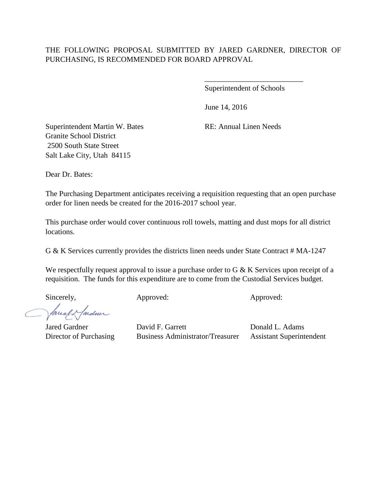Superintendent of Schools

\_\_\_\_\_\_\_\_\_\_\_\_\_\_\_\_\_\_\_\_\_\_\_\_\_\_

June 14, 2016

Superintendent Martin W. Bates RE: Annual Linen Needs Granite School District 2500 South State Street Salt Lake City, Utah 84115

Dear Dr. Bates:

The Purchasing Department anticipates receiving a requisition requesting that an open purchase order for linen needs be created for the 2016-2017 school year.

This purchase order would cover continuous roll towels, matting and dust mops for all district locations.

G & K Services currently provides the districts linen needs under State Contract # MA-1247

We respectfully request approval to issue a purchase order to G & K Services upon receipt of a requisition. The funds for this expenditure are to come from the Custodial Services budget.

Sincerely, Approved: Approved: Approved: Approved:

Saucef & farden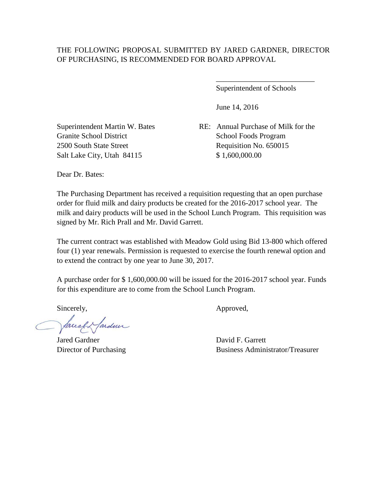Superintendent of Schools

\_\_\_\_\_\_\_\_\_\_\_\_\_\_\_\_\_\_\_\_\_\_\_\_\_\_

June 14, 2016

Granite School District School Foods Program 2500 South State Street Requisition No. 650015 Salt Lake City, Utah 84115 \$ 1,600,000.00

Superintendent Martin W. Bates RE: Annual Purchase of Milk for the

Dear Dr. Bates:

The Purchasing Department has received a requisition requesting that an open purchase order for fluid milk and dairy products be created for the 2016-2017 school year. The milk and dairy products will be used in the School Lunch Program. This requisition was signed by Mr. Rich Prall and Mr. David Garrett.

The current contract was established with Meadow Gold using Bid 13-800 which offered four (1) year renewals. Permission is requested to exercise the fourth renewal option and to extend the contract by one year to June 30, 2017.

A purchase order for \$ 1,600,000.00 will be issued for the 2016-2017 school year. Funds for this expenditure are to come from the School Lunch Program.

facely farden

Jared Gardner David F. Garrett

Sincerely,  $\qquad \qquad \text{Approved},$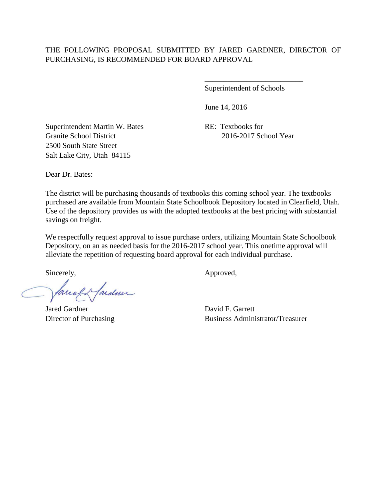Superintendent of Schools

\_\_\_\_\_\_\_\_\_\_\_\_\_\_\_\_\_\_\_\_\_\_\_\_\_\_

June 14, 2016

Superintendent Martin W. Bates RE: Textbooks for Granite School District 2016-2017 School Year 2500 South State Street Salt Lake City, Utah 84115

Dear Dr. Bates:

The district will be purchasing thousands of textbooks this coming school year. The textbooks purchased are available from Mountain State Schoolbook Depository located in Clearfield, Utah. Use of the depository provides us with the adopted textbooks at the best pricing with substantial savings on freight.

We respectfully request approval to issue purchase orders, utilizing Mountain State Schoolbook Depository, on an as needed basis for the 2016-2017 school year. This onetime approval will alleviate the repetition of requesting board approval for each individual purchase.

lacel & farden

Jared Gardner David F. Garrett

Sincerely,  $\qquad \qquad \text{Approved},$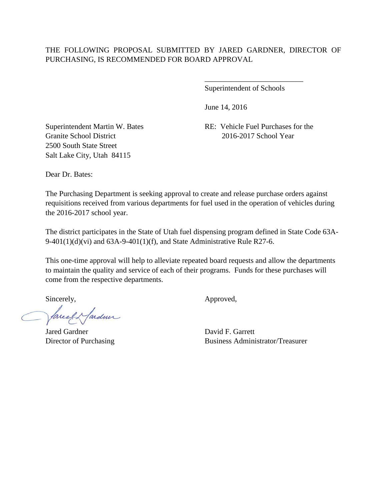Superintendent of Schools

\_\_\_\_\_\_\_\_\_\_\_\_\_\_\_\_\_\_\_\_\_\_\_\_\_\_

June 14, 2016

Granite School District 2016-2017 School Year 2500 South State Street Salt Lake City, Utah 84115

Superintendent Martin W. Bates RE: Vehicle Fuel Purchases for the

Dear Dr. Bates:

The Purchasing Department is seeking approval to create and release purchase orders against requisitions received from various departments for fuel used in the operation of vehicles during the 2016-2017 school year.

The district participates in the State of Utah fuel dispensing program defined in State Code 63A-9-401(1)(d)(vi) and  $63A-9-401(1)$ (f), and State Administrative Rule R27-6.

This one-time approval will help to alleviate repeated board requests and allow the departments to maintain the quality and service of each of their programs. Funds for these purchases will come from the respective departments.

faceef & fardner

Jared Gardner David F. Garrett

Sincerely,  $\qquad \qquad \text{Approved},$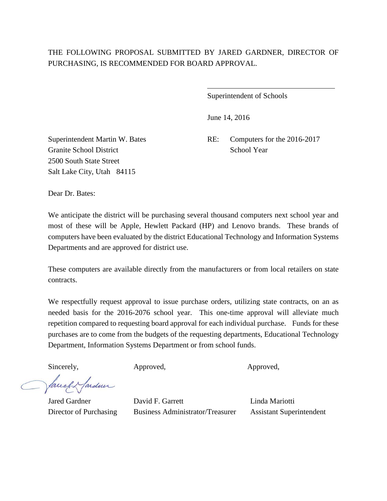$\overline{a}$ 

Superintendent of Schools

June 14, 2016

Granite School District School Year 2500 South State Street Salt Lake City, Utah 84115

Superintendent Martin W. Bates RE: Computers for the 2016-2017

Dear Dr. Bates:

We anticipate the district will be purchasing several thousand computers next school year and most of these will be Apple, Hewlett Packard (HP) and Lenovo brands. These brands of computers have been evaluated by the district Educational Technology and Information Systems Departments and are approved for district use.

These computers are available directly from the manufacturers or from local retailers on state contracts.

We respectfully request approval to issue purchase orders, utilizing state contracts, on an as needed basis for the 2016-2076 school year. This one-time approval will alleviate much repetition compared to requesting board approval for each individual purchase. Funds for these purchases are to come from the budgets of the requesting departments, Educational Technology Department, Information Systems Department or from school funds.

Sincerely, Approved, Approved, Approved,

facely farder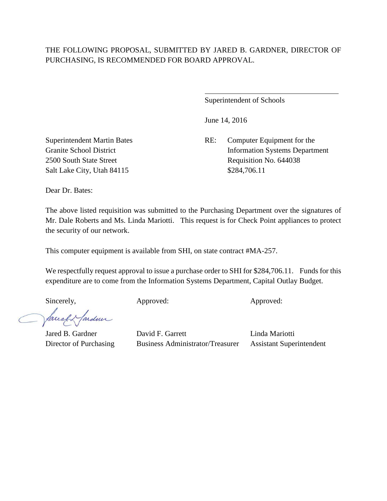$\overline{a}$ 

Superintendent of Schools

June 14, 2016

Superintendent Martin Bates RE: Computer Equipment for the Granite School District Information Systems Department 2500 South State Street Requisition No. 644038

Salt Lake City, Utah 84115 \$284,706.11

Dear Dr. Bates:

The above listed requisition was submitted to the Purchasing Department over the signatures of Mr. Dale Roberts and Ms. Linda Mariotti. This request is for Check Point appliances to protect the security of our network.

This computer equipment is available from SHI, on state contract #MA-257.

We respectfully request approval to issue a purchase order to SHI for \$284,706.11. Funds for this expenditure are to come from the Information Systems Department, Capital Outlay Budget.

Sincerely, Approved: Approved: Approved: Approved:

facely farden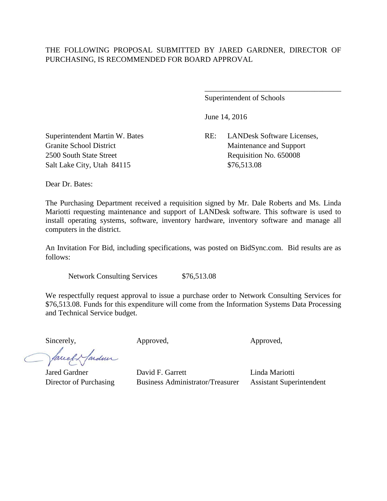Superintendent of Schools

June 14, 2016

Superintendent Martin W. Bates RE: LANDesk Software Licenses, Granite School District Maintenance and Support

\_\_\_\_\_\_\_\_\_\_\_\_\_\_\_\_\_\_\_\_\_\_\_\_\_\_\_\_\_\_\_\_\_\_\_\_

2500 South State Street Requisition No. 650008 Salt Lake City, Utah 84115 \$76,513.08

Dear Dr. Bates:

The Purchasing Department received a requisition signed by Mr. Dale Roberts and Ms. Linda Mariotti requesting maintenance and support of LANDesk software. This software is used to install operating systems, software, inventory hardware, inventory software and manage all computers in the district.

An Invitation For Bid, including specifications, was posted on BidSync.com. Bid results are as follows:

Network Consulting Services \$76,513.08

We respectfully request approval to issue a purchase order to Network Consulting Services for \$76,513.08. Funds for this expenditure will come from the Information Systems Data Processing and Technical Service budget.

Sincerely, Approved, Approved, Approved,

fardun facell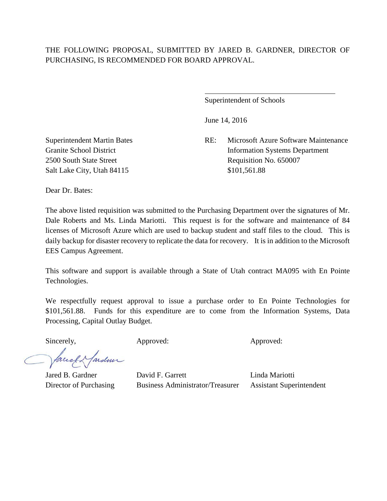$\overline{a}$ 

Superintendent of Schools

June 14, 2016

Superintendent Martin Bates RE: Microsoft Azure Software Maintenance Granite School District Information Systems Department 2500 South State Street Requisition No. 650007

Salt Lake City, Utah 84115 \$101,561.88

Dear Dr. Bates:

The above listed requisition was submitted to the Purchasing Department over the signatures of Mr. Dale Roberts and Ms. Linda Mariotti. This request is for the software and maintenance of 84 licenses of Microsoft Azure which are used to backup student and staff files to the cloud. This is daily backup for disaster recovery to replicate the data for recovery. It is in addition to the Microsoft EES Campus Agreement.

This software and support is available through a State of Utah contract MA095 with En Pointe Technologies.

We respectfully request approval to issue a purchase order to En Pointe Technologies for \$101,561.88. Funds for this expenditure are to come from the Information Systems, Data Processing, Capital Outlay Budget.

Sincerely, Approved: Approved: Approved: Approved:

facely farden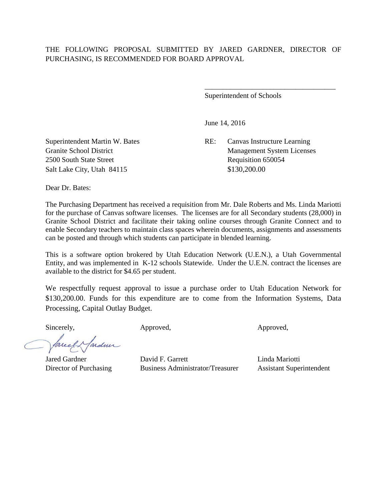Superintendent of Schools

June 14, 2016

Superintendent Martin W. Bates RE: Canvas Instructure Learning Granite School District Management System Licenses

\_\_\_\_\_\_\_\_\_\_\_\_\_\_\_\_\_\_\_\_\_\_\_\_\_\_\_\_\_\_\_\_\_\_\_\_

2500 South State Street Requisition 650054 Salt Lake City, Utah 84115 \$130,200.00

Dear Dr. Bates:

The Purchasing Department has received a requisition from Mr. Dale Roberts and Ms. Linda Mariotti for the purchase of Canvas software licenses. The licenses are for all Secondary students (28,000) in Granite School District and facilitate their taking online courses through Granite Connect and to enable Secondary teachers to maintain class spaces wherein documents, assignments and assessments can be posted and through which students can participate in blended learning.

This is a software option brokered by Utah Education Network (U.E.N.), a Utah Governmental Entity, and was implemented in K-12 schools Statewide. Under the U.E.N. contract the licenses are available to the district for \$4.65 per student.

We respectfully request approval to issue a purchase order to Utah Education Network for \$130,200.00. Funds for this expenditure are to come from the Information Systems, Data Processing, Capital Outlay Budget.

arden facely

Sincerely,  $\qquad \qquad \text{Approved}, \qquad \qquad \text{Approved},$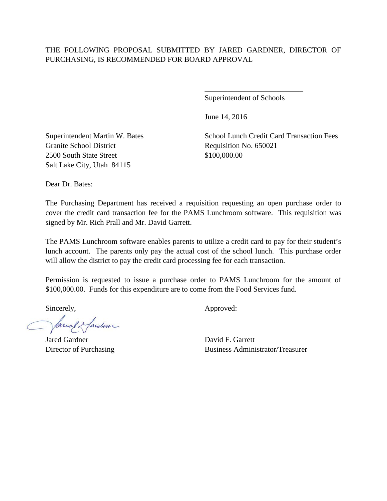Superintendent of Schools

\_\_\_\_\_\_\_\_\_\_\_\_\_\_\_\_\_\_\_\_\_\_\_\_\_\_

June 14, 2016

Granite School District Requisition No. 650021 2500 South State Street \$100,000.00 Salt Lake City, Utah 84115

Superintendent Martin W. Bates School Lunch Credit Card Transaction Fees

Dear Dr. Bates:

The Purchasing Department has received a requisition requesting an open purchase order to cover the credit card transaction fee for the PAMS Lunchroom software. This requisition was signed by Mr. Rich Prall and Mr. David Garrett.

The PAMS Lunchroom software enables parents to utilize a credit card to pay for their student's lunch account. The parents only pay the actual cost of the school lunch. This purchase order will allow the district to pay the credit card processing fee for each transaction.

Permission is requested to issue a purchase order to PAMS Lunchroom for the amount of \$100,000.00. Funds for this expenditure are to come from the Food Services fund.

facel Hardner

Jared Gardner David F. Garrett

Sincerely,  $\qquad \qquad \text{Approved:}$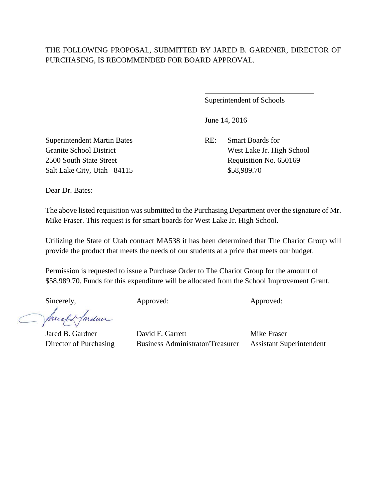$\overline{a}$ 

Superintendent of Schools

June 14, 2016

Superintendent Martin Bates RE: Smart Boards for Salt Lake City, Utah 84115 \$58,989.70

Granite School District West Lake Jr. High School 2500 South State Street Requisition No. 650169

Dear Dr. Bates:

The above listed requisition was submitted to the Purchasing Department over the signature of Mr. Mike Fraser. This request is for smart boards for West Lake Jr. High School.

Utilizing the State of Utah contract MA538 it has been determined that The Chariot Group will provide the product that meets the needs of our students at a price that meets our budget.

Permission is requested to issue a Purchase Order to The Chariot Group for the amount of \$58,989.70. Funds for this expenditure will be allocated from the School Improvement Grant.

Sincerely, Approved: Approved: Approved: Approved:

facely farder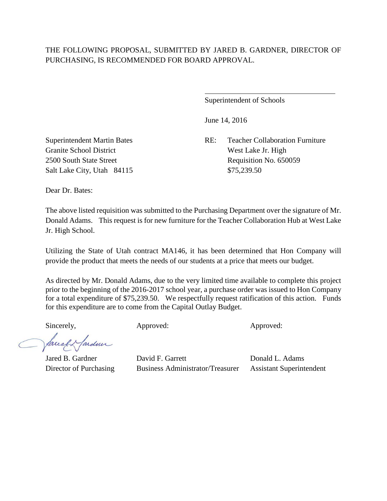$\overline{a}$ 

Superintendent of Schools

June 14, 2016

Superintendent Martin Bates RE: Teacher Collaboration Furniture 2500 South State Street Requisition No. 650059

Granite School District West Lake Jr. High Salt Lake City, Utah 84115 \$75,239.50

Dear Dr. Bates:

The above listed requisition was submitted to the Purchasing Department over the signature of Mr. Donald Adams. This request is for new furniture for the Teacher Collaboration Hub at West Lake Jr. High School.

Utilizing the State of Utah contract MA146, it has been determined that Hon Company will provide the product that meets the needs of our students at a price that meets our budget.

As directed by Mr. Donald Adams, due to the very limited time available to complete this project prior to the beginning of the 2016-2017 school year, a purchase order was issued to Hon Company for a total expenditure of \$75,239.50. We respectfully request ratification of this action. Funds for this expenditure are to come from the Capital Outlay Budget.

facely farden

Sincerely,  $\qquad \qquad \text{Approved:}$  Approved:  $\qquad \qquad \text{Approved:}$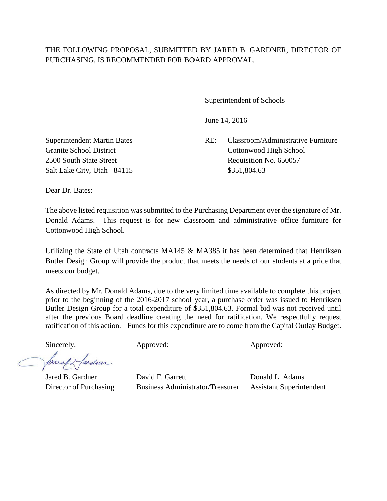$\overline{a}$ 

Superintendent of Schools

June 14, 2016

Superintendent Martin Bates RE: Classroom/Administrative Furniture Granite School District Cottonwood High School 2500 South State Street Requisition No. 650057

Salt Lake City, Utah 84115 \$351,804.63

Dear Dr. Bates:

The above listed requisition was submitted to the Purchasing Department over the signature of Mr. Donald Adams. This request is for new classroom and administrative office furniture for Cottonwood High School.

Utilizing the State of Utah contracts  $MA145 \& MA385$  it has been determined that Henriksen Butler Design Group will provide the product that meets the needs of our students at a price that meets our budget.

As directed by Mr. Donald Adams, due to the very limited time available to complete this project prior to the beginning of the 2016-2017 school year, a purchase order was issued to Henriksen Butler Design Group for a total expenditure of \$351,804.63. Formal bid was not received until after the previous Board deadline creating the need for ratification. We respectfully request ratification of this action. Funds for this expenditure are to come from the Capital Outlay Budget.

Sincerely,  $\qquad \qquad \text{Approved:}$  Approved:  $\qquad \qquad \text{Approved:}$ 

facely farden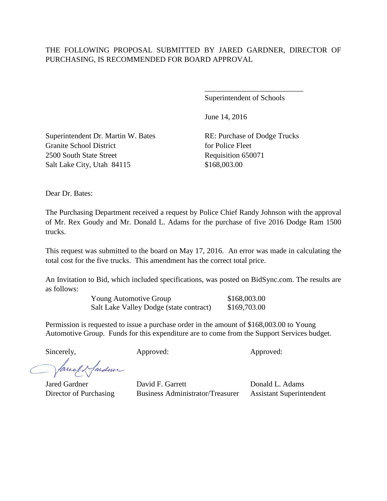Superintendent of Schools

\_\_\_\_\_\_\_\_\_\_\_\_\_\_\_\_\_\_\_\_\_\_\_\_\_\_

June 14, 2016

Superintendent Dr. Martin W. Bates RE: Purchase of Dodge Trucks Granite School District for Police Fleet 2500 South State Street Requisition 650071 Salt Lake City, Utah 84115 \$168,003.00

Dear Dr. Bates:

The Purchasing Department received a request by Police Chief Randy Johnson with the approval of Mr. Rex Goudy and Mr. Donald L. Adams for the purchase of five 2016 Dodge Ram 1500 trucks.

This request was submitted to the board on May 17, 2016. An error was made in calculating the total cost for the five trucks. This amendment has the correct total price.

An Invitation to Bid, which included specifications, was posted on BidSync.com. The results are as follows:

> Young Automotive Group \$168,003.00 Salt Lake Valley Dodge (state contract) \$169,703.00

Permission is requested to issue a purchase order in the amount of \$168,003.00 to Young Automotive Group. Funds for this expenditure are to come from the Support Services budget.

Sincerely,  $\qquad \qquad \text{Approved:}$  Approved:  $\qquad \qquad \text{Approved:}$ 

facely farder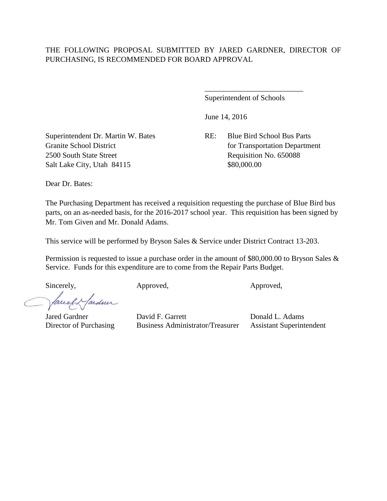Superintendent of Schools

\_\_\_\_\_\_\_\_\_\_\_\_\_\_\_\_\_\_\_\_\_\_\_\_\_\_

June 14, 2016

Granite School District for Transportation Department

Superintendent Dr. Martin W. Bates RE: Blue Bird School Bus Parts 2500 South State Street Requisition No. 650088 Salt Lake City, Utah 84115 \$80,000.00

Dear Dr. Bates:

The Purchasing Department has received a requisition requesting the purchase of Blue Bird bus parts, on an as-needed basis, for the 2016-2017 school year. This requisition has been signed by Mr. Tom Given and Mr. Donald Adams.

This service will be performed by Bryson Sales & Service under District Contract 13-203.

Permission is requested to issue a purchase order in the amount of \$80,000.00 to Bryson Sales & Service. Funds for this expenditure are to come from the Repair Parts Budget.

Sincerely, Approved, Approved, Approved, Approved,

facely farden